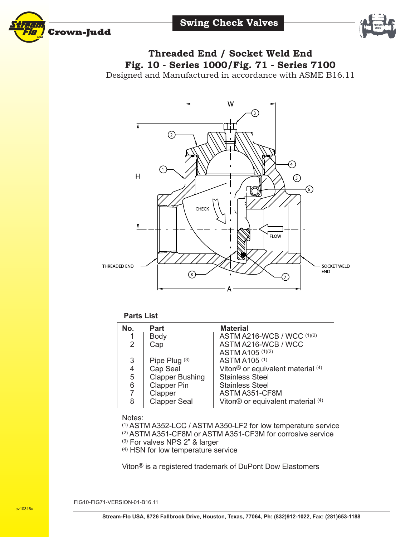





## **Threaded End / Socket Weld End Fig. 10 - Series 1000/Fig. 71 - Series 7100**

Designed and Manufactured in accordance with ASME B16.11



## **Parts List**

| No.            | <b>Part</b>            | <b>Material</b>                               |
|----------------|------------------------|-----------------------------------------------|
| 1              | Body                   | ASTM A216-WCB / WCC (1)(2)                    |
| 2              | Cap                    | ASTM A216-WCB / WCC                           |
|                |                        | ASTM A105 (1)(2)                              |
| 3              | Pipe Plug (3)          | ASTM A105 (1)                                 |
| $\overline{4}$ | Cap Seal               | Viton <sup>®</sup> or equivalent material (4) |
| 5              | <b>Clapper Bushing</b> | <b>Stainless Steel</b>                        |
| 6              | <b>Clapper Pin</b>     | <b>Stainless Steel</b>                        |
| 7              | Clapper                | ASTM A351-CF8M                                |
| 8              | <b>Clapper Seal</b>    | Viton® or equivalent material (4)             |

## Notes:

(1) ASTM A352-LCC / ASTM A350-LF2 for low temperature service

- (2) ASTM A351-CF8M or ASTM A351-CF3M for corrosive service
- (3) For valves NPS 2" & larger
- (4) HSN for low temperature service

Viton® is a registered trademark of DuPont Dow Elastomers

FIG10-FIG71-VERSION-01-B16.11